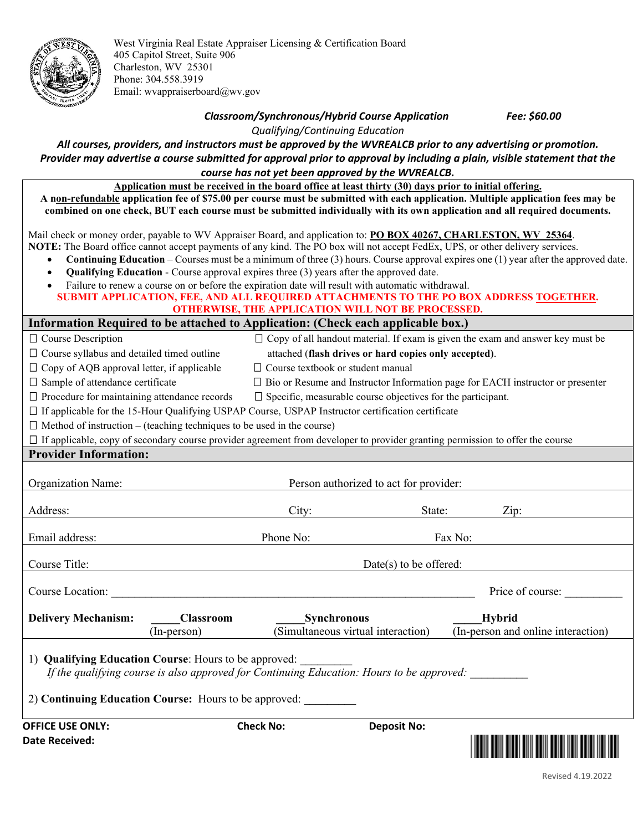

West Virginia Real Estate Appraiser Licensing & Certification Board 405 Capitol Street, Suite 906 Charleston, WV 25301 Phone: 304.558.3919 Email: wvappraiserboard@wv.gov

## *Classroom/Synchronous/Hybrid Course Application Fee: \$60.00*

*Qualifying/Continuing Education*

*All courses, providers, and instructors must be approved by the WVREALCB prior to any advertising or promotion. Provider may advertise a course submitted for approval prior to approval by including a plain, visible statement that the course has not yet been approved by the WVREALCB.*

**Application must be received in the board office at least thirty (30) days prior to initial offering. A non-refundable application fee of \$75.00 per course must be submitted with each application. Multiple application fees may be combined on one check, BUT each course must be submitted individually with its own application and all required documents.** 

Mail check or money order, payable to WV Appraiser Board, and application to: **PO BOX 40267, CHARLESTON, WV 25364**. **NOTE:** The Board office cannot accept payments of any kind. The PO box will not accept FedEx, UPS, or other delivery services.

- **Continuing Education** Courses must be a minimum of three (3) hours. Course approval expires one (1) year after the approved date.
- **Qualifying Education** Course approval expires three (3) years after the approved date.
- Failure to renew a course on or before the expiration date will result with automatic withdrawal.

| SUBMIT APPLICATION, FEE, AND ALL REQUIRED ATTACHMENTS TO THE PO BOX ADDRESS TOGETHER. |  |
|---------------------------------------------------------------------------------------|--|
| <b>OTHERWISE, THE APPLICATION WILL NOT BE PROCESSED.</b>                              |  |

## **Information Required to be attached to Application: (Check each applicable box.)**

| $\Box$ Course Description                                                                                                                                                                                   |                                                                                                          |                                                                                                                     |                                        |         | $\Box$ Copy of all handout material. If exam is given the exam and answer key must be    |  |
|-------------------------------------------------------------------------------------------------------------------------------------------------------------------------------------------------------------|----------------------------------------------------------------------------------------------------------|---------------------------------------------------------------------------------------------------------------------|----------------------------------------|---------|------------------------------------------------------------------------------------------|--|
| $\square$ Course syllabus and detailed timed outline                                                                                                                                                        |                                                                                                          | attached (flash drives or hard copies only accepted).                                                               |                                        |         |                                                                                          |  |
| $\Box$ Copy of AQB approval letter, if applicable                                                                                                                                                           |                                                                                                          | $\Box$ Course textbook or student manual                                                                            |                                        |         |                                                                                          |  |
| □ Sample of attendance certificate                                                                                                                                                                          |                                                                                                          |                                                                                                                     |                                        |         | $\square$ Bio or Resume and Instructor Information page for EACH instructor or presenter |  |
| $\Box$ Procedure for maintaining attendance records                                                                                                                                                         |                                                                                                          | $\Box$ Specific, measurable course objectives for the participant.                                                  |                                        |         |                                                                                          |  |
|                                                                                                                                                                                                             | $\Box$ If applicable for the 15-Hour Qualifying USPAP Course, USPAP Instructor certification certificate |                                                                                                                     |                                        |         |                                                                                          |  |
| $\Box$ Method of instruction – (teaching techniques to be used in the course)                                                                                                                               |                                                                                                          |                                                                                                                     |                                        |         |                                                                                          |  |
| $\Box$ If applicable, copy of secondary course provider agreement from developer to provider granting permission to offer the course                                                                        |                                                                                                          |                                                                                                                     |                                        |         |                                                                                          |  |
| <b>Provider Information:</b>                                                                                                                                                                                |                                                                                                          |                                                                                                                     |                                        |         |                                                                                          |  |
|                                                                                                                                                                                                             |                                                                                                          |                                                                                                                     |                                        |         |                                                                                          |  |
| <b>Organization Name:</b>                                                                                                                                                                                   |                                                                                                          |                                                                                                                     | Person authorized to act for provider: |         |                                                                                          |  |
|                                                                                                                                                                                                             |                                                                                                          |                                                                                                                     |                                        |         |                                                                                          |  |
| Address:                                                                                                                                                                                                    |                                                                                                          | City:                                                                                                               | State:                                 |         | Zip:                                                                                     |  |
|                                                                                                                                                                                                             |                                                                                                          |                                                                                                                     |                                        |         |                                                                                          |  |
| Email address:                                                                                                                                                                                              |                                                                                                          | Phone No:                                                                                                           |                                        | Fax No: |                                                                                          |  |
| Course Title:                                                                                                                                                                                               |                                                                                                          |                                                                                                                     | $Date(s)$ to be offered:               |         |                                                                                          |  |
|                                                                                                                                                                                                             |                                                                                                          |                                                                                                                     |                                        |         |                                                                                          |  |
| Course Location:                                                                                                                                                                                            |                                                                                                          | <u> 1989 - Johann Stein, marwolaethau a bhann an t-Amhair ann an t-Amhair an t-Amhair an t-Amhair an t-Amhair a</u> |                                        |         | Price of course:                                                                         |  |
| <b>Delivery Mechanism:</b>                                                                                                                                                                                  | <b>Classroom</b>                                                                                         | <b>Synchronous</b>                                                                                                  |                                        |         | Hybrid                                                                                   |  |
|                                                                                                                                                                                                             | $(In-person)$                                                                                            | (Simultaneous virtual interaction)                                                                                  |                                        |         | (In-person and online interaction)                                                       |  |
| 1) Qualifying Education Course: Hours to be approved:<br>If the qualifying course is also approved for Continuing Education: Hours to be approved:<br>2) Continuing Education Course: Hours to be approved: |                                                                                                          |                                                                                                                     |                                        |         |                                                                                          |  |
| <b>OFFICE USE ONLY:</b>                                                                                                                                                                                     |                                                                                                          | <b>Check No:</b>                                                                                                    | <b>Deposit No:</b>                     |         |                                                                                          |  |
| Date Received:                                                                                                                                                                                              |                                                                                                          |                                                                                                                     |                                        |         |                                                                                          |  |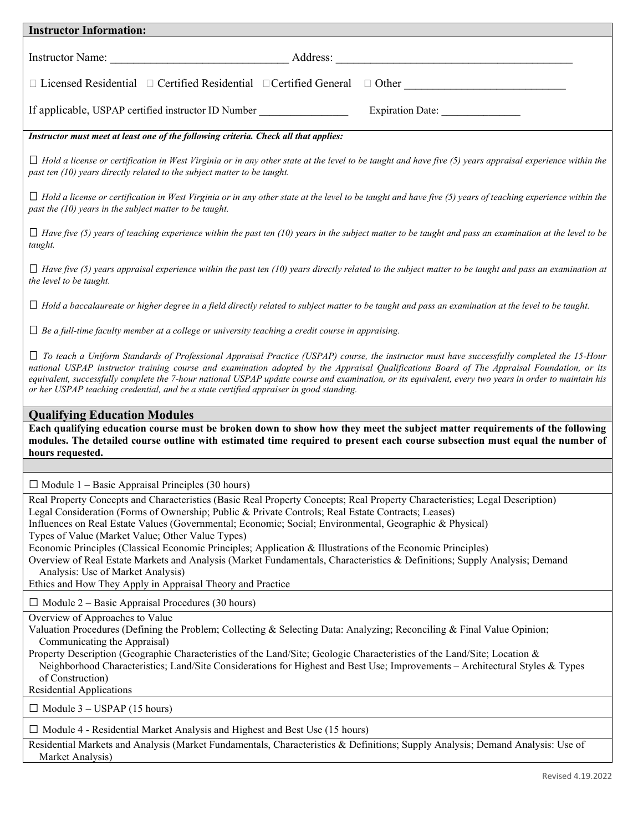| <b>Instructor Information:</b>                                                                                                                                                                                                                                                                                                                                                                                                                                                                                                                                                                                                                                                                                                                                                                             |  |  |  |  |  |
|------------------------------------------------------------------------------------------------------------------------------------------------------------------------------------------------------------------------------------------------------------------------------------------------------------------------------------------------------------------------------------------------------------------------------------------------------------------------------------------------------------------------------------------------------------------------------------------------------------------------------------------------------------------------------------------------------------------------------------------------------------------------------------------------------------|--|--|--|--|--|
| Instructor Name: Address: Address:                                                                                                                                                                                                                                                                                                                                                                                                                                                                                                                                                                                                                                                                                                                                                                         |  |  |  |  |  |
| □ Licensed Residential □ Certified Residential □ Certified General □ Other ________________________                                                                                                                                                                                                                                                                                                                                                                                                                                                                                                                                                                                                                                                                                                        |  |  |  |  |  |
| If applicable, USPAP certified instructor ID Number<br>Expiration Date: ________________                                                                                                                                                                                                                                                                                                                                                                                                                                                                                                                                                                                                                                                                                                                   |  |  |  |  |  |
| Instructor must meet at least one of the following criteria. Check all that applies:                                                                                                                                                                                                                                                                                                                                                                                                                                                                                                                                                                                                                                                                                                                       |  |  |  |  |  |
| $\Box$ Hold a license or certification in West Virginia or in any other state at the level to be taught and have five (5) years appraisal experience within the<br>past ten (10) years directly related to the subject matter to be taught.                                                                                                                                                                                                                                                                                                                                                                                                                                                                                                                                                                |  |  |  |  |  |
| $\Box$ Hold a license or certification in West Virginia or in any other state at the level to be taught and have five (5) years of teaching experience within the<br>past the $(10)$ years in the subject matter to be taught.                                                                                                                                                                                                                                                                                                                                                                                                                                                                                                                                                                             |  |  |  |  |  |
| $\Box$ Have five (5) years of teaching experience within the past ten (10) years in the subject matter to be taught and pass an examination at the level to be<br>taught.                                                                                                                                                                                                                                                                                                                                                                                                                                                                                                                                                                                                                                  |  |  |  |  |  |
| $\Box$ Have five (5) years appraisal experience within the past ten (10) years directly related to the subject matter to be taught and pass an examination at<br>the level to be taught.                                                                                                                                                                                                                                                                                                                                                                                                                                                                                                                                                                                                                   |  |  |  |  |  |
| $\Box$ Hold a baccalaureate or higher degree in a field directly related to subject matter to be taught and pass an examination at the level to be taught.                                                                                                                                                                                                                                                                                                                                                                                                                                                                                                                                                                                                                                                 |  |  |  |  |  |
| $\Box$ Be a full-time faculty member at a college or university teaching a credit course in appraising.                                                                                                                                                                                                                                                                                                                                                                                                                                                                                                                                                                                                                                                                                                    |  |  |  |  |  |
| $\Box$ To teach a Uniform Standards of Professional Appraisal Practice (USPAP) course, the instructor must have successfully completed the 15-Hour<br>national USPAP instructor training course and examination adopted by the Appraisal Qualifications Board of The Appraisal Foundation, or its<br>equivalent, successfully complete the 7-hour national USPAP update course and examination, or its equivalent, every two years in order to maintain his<br>or her USPAP teaching credential, and be a state certified appraiser in good standing.                                                                                                                                                                                                                                                      |  |  |  |  |  |
| <b>Qualifying Education Modules</b>                                                                                                                                                                                                                                                                                                                                                                                                                                                                                                                                                                                                                                                                                                                                                                        |  |  |  |  |  |
| Each qualifying education course must be broken down to show how they meet the subject matter requirements of the following<br>modules. The detailed course outline with estimated time required to present each course subsection must equal the number of<br>hours requested.                                                                                                                                                                                                                                                                                                                                                                                                                                                                                                                            |  |  |  |  |  |
|                                                                                                                                                                                                                                                                                                                                                                                                                                                                                                                                                                                                                                                                                                                                                                                                            |  |  |  |  |  |
| $\Box$ Module 1 – Basic Appraisal Principles (30 hours)<br>Real Property Concepts and Characteristics (Basic Real Property Concepts; Real Property Characteristics; Legal Description)<br>Legal Consideration (Forms of Ownership; Public & Private Controls; Real Estate Contracts; Leases)<br>Influences on Real Estate Values (Governmental; Economic; Social; Environmental, Geographic & Physical)<br>Types of Value (Market Value; Other Value Types)<br>Economic Principles (Classical Economic Principles; Application & Illustrations of the Economic Principles)<br>Overview of Real Estate Markets and Analysis (Market Fundamentals, Characteristics & Definitions; Supply Analysis; Demand<br>Analysis: Use of Market Analysis)<br>Ethics and How They Apply in Appraisal Theory and Practice |  |  |  |  |  |
| $\Box$ Module 2 – Basic Appraisal Procedures (30 hours)                                                                                                                                                                                                                                                                                                                                                                                                                                                                                                                                                                                                                                                                                                                                                    |  |  |  |  |  |
| Overview of Approaches to Value<br>Valuation Procedures (Defining the Problem; Collecting & Selecting Data: Analyzing; Reconciling & Final Value Opinion;<br>Communicating the Appraisal)<br>Property Description (Geographic Characteristics of the Land/Site; Geologic Characteristics of the Land/Site; Location &<br>Neighborhood Characteristics; Land/Site Considerations for Highest and Best Use; Improvements - Architectural Styles & Types<br>of Construction)<br>Residential Applications                                                                                                                                                                                                                                                                                                      |  |  |  |  |  |
| $\Box$ Module 3 – USPAP (15 hours)                                                                                                                                                                                                                                                                                                                                                                                                                                                                                                                                                                                                                                                                                                                                                                         |  |  |  |  |  |

**□** Module 4 - Residential Market Analysis and Highest and Best Use (15 hours)

Residential Markets and Analysis (Market Fundamentals, Characteristics & Definitions; Supply Analysis; Demand Analysis: Use of Market Analysis)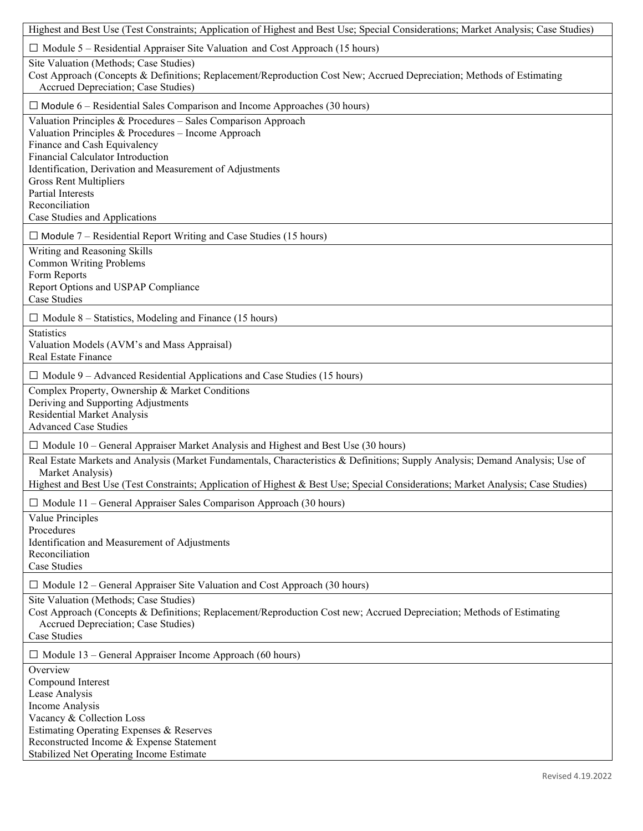| Highest and Best Use (Test Constraints; Application of Highest and Best Use; Special Considerations; Market Analysis; Case Studies)                                                                                                                                                                                                                                    |
|------------------------------------------------------------------------------------------------------------------------------------------------------------------------------------------------------------------------------------------------------------------------------------------------------------------------------------------------------------------------|
| $\Box$ Module 5 – Residential Appraiser Site Valuation and Cost Approach (15 hours)                                                                                                                                                                                                                                                                                    |
| Site Valuation (Methods; Case Studies)<br>Cost Approach (Concepts & Definitions; Replacement/Reproduction Cost New; Accrued Depreciation; Methods of Estimating<br>Accrued Depreciation; Case Studies)                                                                                                                                                                 |
| $\Box$ Module 6 – Residential Sales Comparison and Income Approaches (30 hours)                                                                                                                                                                                                                                                                                        |
| Valuation Principles & Procedures - Sales Comparison Approach<br>Valuation Principles & Procedures - Income Approach<br>Finance and Cash Equivalency<br>Financial Calculator Introduction<br>Identification, Derivation and Measurement of Adjustments<br><b>Gross Rent Multipliers</b><br><b>Partial Interests</b><br>Reconciliation<br>Case Studies and Applications |
| $\Box$ Module 7 – Residential Report Writing and Case Studies (15 hours)                                                                                                                                                                                                                                                                                               |
| Writing and Reasoning Skills<br><b>Common Writing Problems</b><br>Form Reports<br>Report Options and USPAP Compliance<br><b>Case Studies</b>                                                                                                                                                                                                                           |
| $\Box$ Module 8 – Statistics, Modeling and Finance (15 hours)                                                                                                                                                                                                                                                                                                          |
| <b>Statistics</b><br>Valuation Models (AVM's and Mass Appraisal)<br>Real Estate Finance                                                                                                                                                                                                                                                                                |
| $\Box$ Module 9 – Advanced Residential Applications and Case Studies (15 hours)                                                                                                                                                                                                                                                                                        |
| Complex Property, Ownership & Market Conditions<br>Deriving and Supporting Adjustments<br><b>Residential Market Analysis</b><br><b>Advanced Case Studies</b>                                                                                                                                                                                                           |
| $\Box$ Module 10 – General Appraiser Market Analysis and Highest and Best Use (30 hours)                                                                                                                                                                                                                                                                               |
| Real Estate Markets and Analysis (Market Fundamentals, Characteristics & Definitions; Supply Analysis; Demand Analysis; Use of<br>Market Analysis)<br>Highest and Best Use (Test Constraints; Application of Highest & Best Use; Special Considerations; Market Analysis; Case Studies)                                                                                |
| $\Box$ Module 11 – General Appraiser Sales Comparison Approach (30 hours)                                                                                                                                                                                                                                                                                              |
| Value Principles<br>Procedures<br>Identification and Measurement of Adjustments<br>Reconciliation<br>Case Studies                                                                                                                                                                                                                                                      |
| $\Box$ Module 12 – General Appraiser Site Valuation and Cost Approach (30 hours)                                                                                                                                                                                                                                                                                       |
| Site Valuation (Methods; Case Studies)<br>Cost Approach (Concepts & Definitions; Replacement/Reproduction Cost new; Accrued Depreciation; Methods of Estimating<br>Accrued Depreciation; Case Studies)<br>Case Studies                                                                                                                                                 |
| $\Box$ Module 13 – General Appraiser Income Approach (60 hours)                                                                                                                                                                                                                                                                                                        |
| Overview<br>Compound Interest<br>Lease Analysis<br>Income Analysis<br>Vacancy & Collection Loss<br>Estimating Operating Expenses & Reserves<br>Reconstructed Income & Expense Statement<br>Stabilized Net Operating Income Estimate                                                                                                                                    |